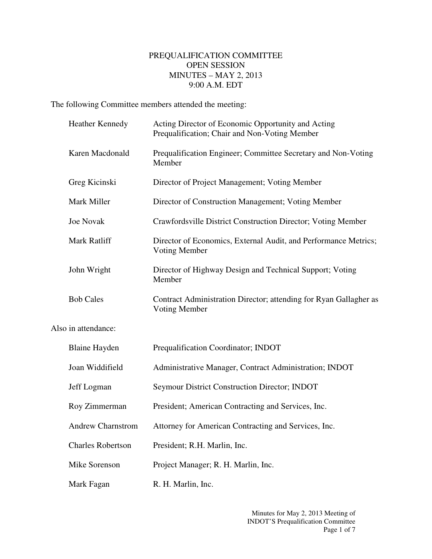## PREQUALIFICATION COMMITTEE OPEN SESSION MINUTES – MAY 2, 2013 9:00 A.M. EDT

The following Committee members attended the meeting:

|                     | Heather Kennedy          | Acting Director of Economic Opportunity and Acting<br>Prequalification; Chair and Non-Voting Member |
|---------------------|--------------------------|-----------------------------------------------------------------------------------------------------|
|                     | Karen Macdonald          | Prequalification Engineer; Committee Secretary and Non-Voting<br>Member                             |
|                     | Greg Kicinski            | Director of Project Management; Voting Member                                                       |
|                     | Mark Miller              | Director of Construction Management; Voting Member                                                  |
|                     | <b>Joe Novak</b>         | Crawfordsville District Construction Director; Voting Member                                        |
|                     | Mark Ratliff             | Director of Economics, External Audit, and Performance Metrics;<br>Voting Member                    |
|                     | John Wright              | Director of Highway Design and Technical Support; Voting<br>Member                                  |
|                     | <b>Bob Cales</b>         | Contract Administration Director; attending for Ryan Gallagher as<br>Voting Member                  |
| Also in attendance: |                          |                                                                                                     |
|                     | <b>Blaine Hayden</b>     | Prequalification Coordinator; INDOT                                                                 |
|                     | Joan Widdifield          | Administrative Manager, Contract Administration; INDOT                                              |
|                     | Jeff Logman              | Seymour District Construction Director; INDOT                                                       |
|                     | Roy Zimmerman            | President; American Contracting and Services, Inc.                                                  |
|                     | <b>Andrew Charnstrom</b> | Attorney for American Contracting and Services, Inc.                                                |
|                     | <b>Charles Robertson</b> | President; R.H. Marlin, Inc.                                                                        |
|                     | Mike Sorenson            | Project Manager; R. H. Marlin, Inc.                                                                 |
|                     | Mark Fagan               | R. H. Marlin, Inc.                                                                                  |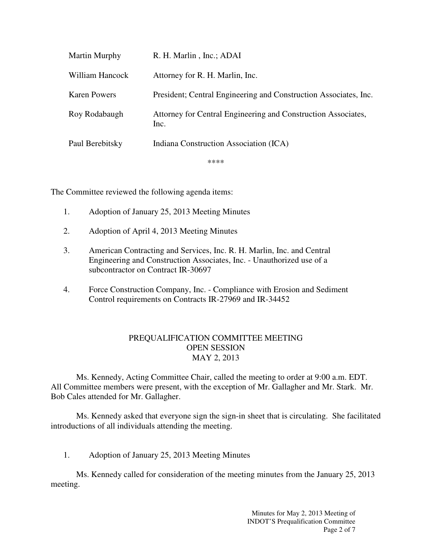| Martin Murphy       | R. H. Marlin, Inc.; ADAI                                              |
|---------------------|-----------------------------------------------------------------------|
| William Hancock     | Attorney for R. H. Marlin, Inc.                                       |
| <b>Karen Powers</b> | President; Central Engineering and Construction Associates, Inc.      |
| Roy Rodabaugh       | Attorney for Central Engineering and Construction Associates,<br>Inc. |
| Paul Berebitsky     | Indiana Construction Association (ICA)                                |
|                     | ****                                                                  |

The Committee reviewed the following agenda items:

- 1. Adoption of January 25, 2013 Meeting Minutes
- 2. Adoption of April 4, 2013 Meeting Minutes
- 3. American Contracting and Services, Inc. R. H. Marlin, Inc. and Central Engineering and Construction Associates, Inc. - Unauthorized use of a subcontractor on Contract IR-30697
- 4. Force Construction Company, Inc. Compliance with Erosion and Sediment Control requirements on Contracts IR-27969 and IR-34452

## PREQUALIFICATION COMMITTEE MEETING OPEN SESSION MAY 2, 2013

Ms. Kennedy, Acting Committee Chair, called the meeting to order at 9:00 a.m. EDT. All Committee members were present, with the exception of Mr. Gallagher and Mr. Stark. Mr. Bob Cales attended for Mr. Gallagher.

Ms. Kennedy asked that everyone sign the sign-in sheet that is circulating. She facilitated introductions of all individuals attending the meeting.

1. Adoption of January 25, 2013 Meeting Minutes

Ms. Kennedy called for consideration of the meeting minutes from the January 25, 2013 meeting.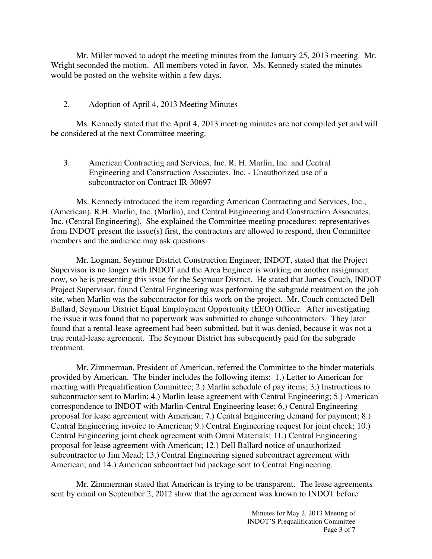Mr. Miller moved to adopt the meeting minutes from the January 25, 2013 meeting. Mr. Wright seconded the motion. All members voted in favor. Ms. Kennedy stated the minutes would be posted on the website within a few days.

## 2. Adoption of April 4, 2013 Meeting Minutes

Ms. Kennedy stated that the April 4, 2013 meeting minutes are not compiled yet and will be considered at the next Committee meeting.

3. American Contracting and Services, Inc. R. H. Marlin, Inc. and Central Engineering and Construction Associates, Inc. - Unauthorized use of a subcontractor on Contract IR-30697

Ms. Kennedy introduced the item regarding American Contracting and Services, Inc., (American), R.H. Marlin, Inc. (Marlin), and Central Engineering and Construction Associates, Inc. (Central Engineering). She explained the Committee meeting procedures: representatives from INDOT present the issue(s) first, the contractors are allowed to respond, then Committee members and the audience may ask questions.

Mr. Logman, Seymour District Construction Engineer, INDOT, stated that the Project Supervisor is no longer with INDOT and the Area Engineer is working on another assignment now, so he is presenting this issue for the Seymour District. He stated that James Couch, INDOT Project Supervisor, found Central Engineering was performing the subgrade treatment on the job site, when Marlin was the subcontractor for this work on the project. Mr. Couch contacted Dell Ballard, Seymour District Equal Employment Opportunity (EEO) Officer. After investigating the issue it was found that no paperwork was submitted to change subcontractors. They later found that a rental-lease agreement had been submitted, but it was denied, because it was not a true rental-lease agreement. The Seymour District has subsequently paid for the subgrade treatment.

Mr. Zimmerman, President of American, referred the Committee to the binder materials provided by American. The binder includes the following items: 1.) Letter to American for meeting with Prequalification Committee; 2.) Marlin schedule of pay items; 3.) Instructions to subcontractor sent to Marlin; 4.) Marlin lease agreement with Central Engineering; 5.) American correspondence to INDOT with Marlin-Central Engineering lease; 6.) Central Engineering proposal for lease agreement with American; 7.) Central Engineering demand for payment; 8.) Central Engineering invoice to American; 9.) Central Engineering request for joint check; 10.) Central Engineering joint check agreement with Omni Materials; 11.) Central Engineering proposal for lease agreement with American; 12.) Dell Ballard notice of unauthorized subcontractor to Jim Mead; 13.) Central Engineering signed subcontract agreement with American; and 14.) American subcontract bid package sent to Central Engineering.

Mr. Zimmerman stated that American is trying to be transparent. The lease agreements sent by email on September 2, 2012 show that the agreement was known to INDOT before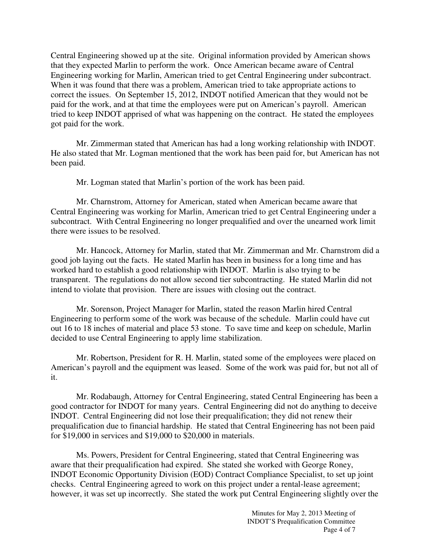Central Engineering showed up at the site. Original information provided by American shows that they expected Marlin to perform the work. Once American became aware of Central Engineering working for Marlin, American tried to get Central Engineering under subcontract. When it was found that there was a problem, American tried to take appropriate actions to correct the issues. On September 15, 2012, INDOT notified American that they would not be paid for the work, and at that time the employees were put on American's payroll. American tried to keep INDOT apprised of what was happening on the contract. He stated the employees got paid for the work.

Mr. Zimmerman stated that American has had a long working relationship with INDOT. He also stated that Mr. Logman mentioned that the work has been paid for, but American has not been paid.

Mr. Logman stated that Marlin's portion of the work has been paid.

Mr. Charnstrom, Attorney for American, stated when American became aware that Central Engineering was working for Marlin, American tried to get Central Engineering under a subcontract. With Central Engineering no longer prequalified and over the unearned work limit there were issues to be resolved.

Mr. Hancock, Attorney for Marlin, stated that Mr. Zimmerman and Mr. Charnstrom did a good job laying out the facts. He stated Marlin has been in business for a long time and has worked hard to establish a good relationship with INDOT. Marlin is also trying to be transparent. The regulations do not allow second tier subcontracting. He stated Marlin did not intend to violate that provision. There are issues with closing out the contract.

Mr. Sorenson, Project Manager for Marlin, stated the reason Marlin hired Central Engineering to perform some of the work was because of the schedule. Marlin could have cut out 16 to 18 inches of material and place 53 stone. To save time and keep on schedule, Marlin decided to use Central Engineering to apply lime stabilization.

Mr. Robertson, President for R. H. Marlin, stated some of the employees were placed on American's payroll and the equipment was leased. Some of the work was paid for, but not all of it.

Mr. Rodabaugh, Attorney for Central Engineering, stated Central Engineering has been a good contractor for INDOT for many years. Central Engineering did not do anything to deceive INDOT. Central Engineering did not lose their prequalification; they did not renew their prequalification due to financial hardship. He stated that Central Engineering has not been paid for \$19,000 in services and \$19,000 to \$20,000 in materials.

Ms. Powers, President for Central Engineering, stated that Central Engineering was aware that their prequalification had expired. She stated she worked with George Roney, INDOT Economic Opportunity Division (EOD) Contract Compliance Specialist, to set up joint checks. Central Engineering agreed to work on this project under a rental-lease agreement; however, it was set up incorrectly. She stated the work put Central Engineering slightly over the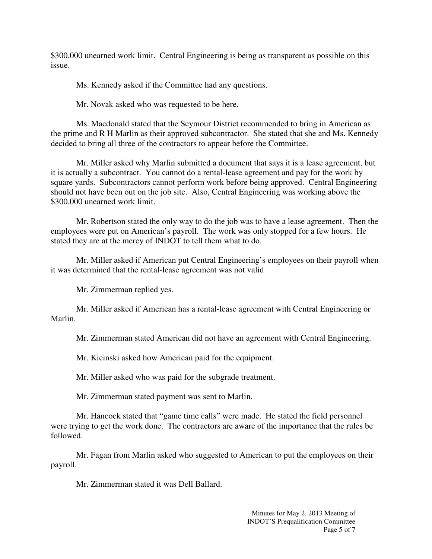\$300,000 unearned work limit. Central Engineering is being as transparent as possible on this issue.

Ms. Kennedy asked if the Committee had any questions.

Mr. Novak asked who was requested to be here.

Ms. Macdonald stated that the Seymour District recommended to bring in American as the prime and R H Marlin as their approved subcontractor. She stated that she and Ms. Kennedy decided to bring all three of the contractors to appear before the Committee.

Mr. Miller asked why Marlin submitted a document that says it is a lease agreement, but it is actually a subcontract. You cannot do a rental-lease agreement and pay for the work by square yards. Subcontractors cannot perform work before being approved. Central Engineering should not have been out on the job site. Also, Central Engineering was working above the \$300,000 unearned work limit.

Mr. Robertson stated the only way to do the job was to have a lease agreement. Then the employees were put on American's payroll. The work was only stopped for a few hours. He stated they are at the mercy of INDOT to tell them what to do.

Mr. Miller asked if American put Central Engineering's employees on their payroll when it was determined that the rental-lease agreement was not valid

Mr. Zimmerman replied yes.

Mr. Miller asked if American has a rental-lease agreement with Central Engineering or Marlin.

Mr. Zimmerman stated American did not have an agreement with Central Engineering.

Mr. Kicinski asked how American paid for the equipment.

Mr. Miller asked who was paid for the subgrade treatment.

Mr. Zimmerman stated payment was sent to Marlin.

Mr. Hancock stated that "game time calls" were made. He stated the field personnel were trying to get the work done. The contractors are aware of the importance that the rules be followed.

Mr. Fagan from Marlin asked who suggested to American to put the employees on their payroll.

Mr. Zimmerman stated it was Dell Ballard.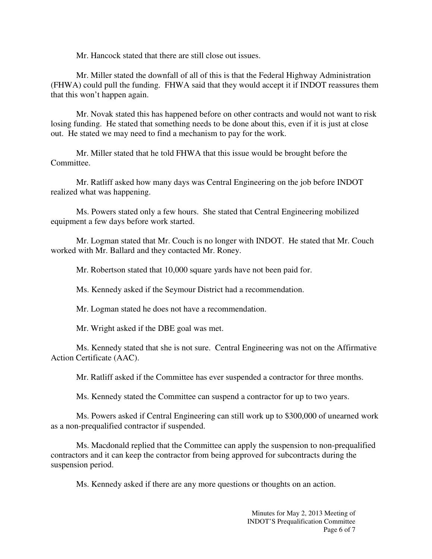Mr. Hancock stated that there are still close out issues.

Mr. Miller stated the downfall of all of this is that the Federal Highway Administration (FHWA) could pull the funding. FHWA said that they would accept it if INDOT reassures them that this won't happen again.

Mr. Novak stated this has happened before on other contracts and would not want to risk losing funding. He stated that something needs to be done about this, even if it is just at close out. He stated we may need to find a mechanism to pay for the work.

Mr. Miller stated that he told FHWA that this issue would be brought before the Committee.

Mr. Ratliff asked how many days was Central Engineering on the job before INDOT realized what was happening.

Ms. Powers stated only a few hours. She stated that Central Engineering mobilized equipment a few days before work started.

Mr. Logman stated that Mr. Couch is no longer with INDOT. He stated that Mr. Couch worked with Mr. Ballard and they contacted Mr. Roney.

Mr. Robertson stated that 10,000 square yards have not been paid for.

Ms. Kennedy asked if the Seymour District had a recommendation.

Mr. Logman stated he does not have a recommendation.

Mr. Wright asked if the DBE goal was met.

Ms. Kennedy stated that she is not sure. Central Engineering was not on the Affirmative Action Certificate (AAC).

Mr. Ratliff asked if the Committee has ever suspended a contractor for three months.

Ms. Kennedy stated the Committee can suspend a contractor for up to two years.

Ms. Powers asked if Central Engineering can still work up to \$300,000 of unearned work as a non-prequalified contractor if suspended.

Ms. Macdonald replied that the Committee can apply the suspension to non-prequalified contractors and it can keep the contractor from being approved for subcontracts during the suspension period.

Ms. Kennedy asked if there are any more questions or thoughts on an action.